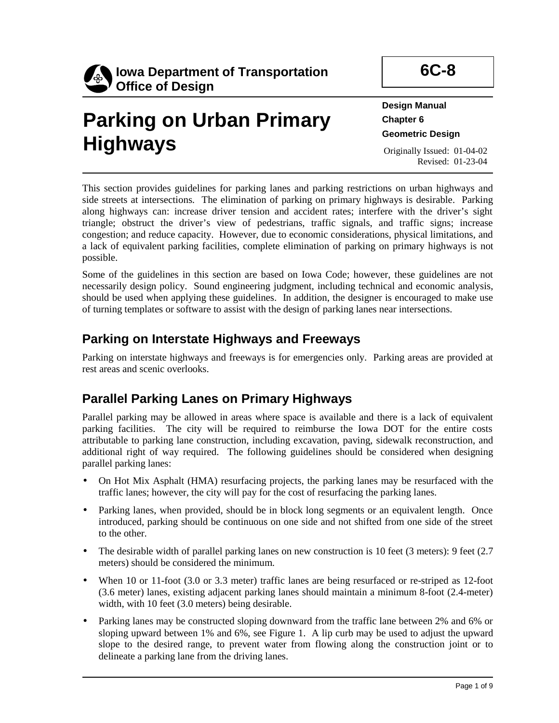

# **Parking on Urban Primary Highways**

**6C-8** 

**Design Manual Chapter 6 Geometric Design** 

Originally Issued: 01-04-02 Revised: 01-23-04

This section provides guidelines for parking lanes and parking restrictions on urban highways and side streets at intersections. The elimination of parking on primary highways is desirable. Parking along highways can: increase driver tension and accident rates; interfere with the driver's sight triangle; obstruct the driver's view of pedestrians, traffic signals, and traffic signs; increase congestion; and reduce capacity. However, due to economic considerations, physical limitations, and a lack of equivalent parking facilities, complete elimination of parking on primary highways is not possible.

Some of the guidelines in this section are based on Iowa Code; however, these guidelines are not necessarily design policy. Sound engineering judgment, including technical and economic analysis, should be used when applying these guidelines. In addition, the designer is encouraged to make use of turning templates or software to assist with the design of parking lanes near intersections.

# **Parking on Interstate Highways and Freeways**

Parking on interstate highways and freeways is for emergencies only. Parking areas are provided at rest areas and scenic overlooks.

# **Parallel Parking Lanes on Primary Highways**

Parallel parking may be allowed in areas where space is available and there is a lack of equivalent parking facilities. The city will be required to reimburse the Iowa DOT for the entire costs attributable to parking lane construction, including excavation, paving, sidewalk reconstruction, and additional right of way required. The following guidelines should be considered when designing parallel parking lanes:

- On Hot Mix Asphalt (HMA) resurfacing projects, the parking lanes may be resurfaced with the traffic lanes; however, the city will pay for the cost of resurfacing the parking lanes.
- Parking lanes, when provided, should be in block long segments or an equivalent length. Once introduced, parking should be continuous on one side and not shifted from one side of the street to the other.
- The desirable width of parallel parking lanes on new construction is 10 feet (3 meters): 9 feet (2.7) meters) should be considered the minimum.
- When 10 or 11-foot (3.0 or 3.3 meter) traffic lanes are being resurfaced or re-striped as 12-foot (3.6 meter) lanes, existing adjacent parking lanes should maintain a minimum 8-foot (2.4-meter) width, with 10 feet (3.0 meters) being desirable.
- Parking lanes may be constructed sloping downward from the traffic lane between 2% and 6% or sloping upward between 1% and 6%, see Figure 1. A lip curb may be used to adjust the upward slope to the desired range, to prevent water from flowing along the construction joint or to delineate a parking lane from the driving lanes.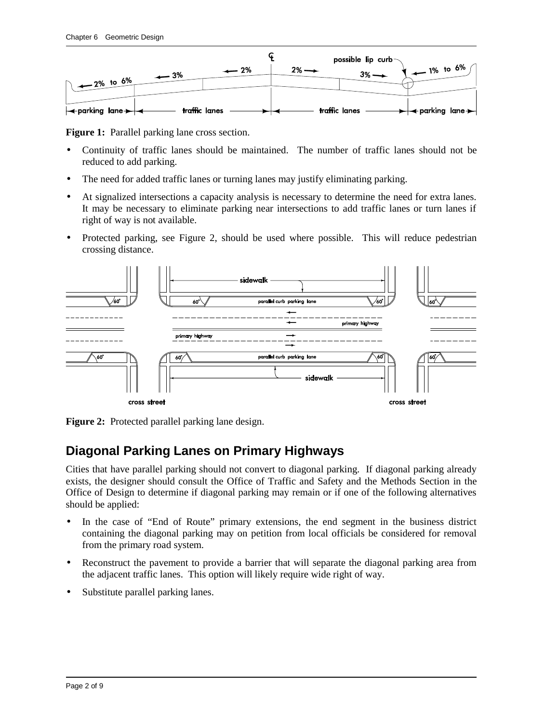

**Figure 1:** Parallel parking lane cross section.

- Continuity of traffic lanes should be maintained. The number of traffic lanes should not be reduced to add parking.
- The need for added traffic lanes or turning lanes may justify eliminating parking.
- At signalized intersections a capacity analysis is necessary to determine the need for extra lanes. It may be necessary to eliminate parking near intersections to add traffic lanes or turn lanes if right of way is not available.
- Protected parking, see Figure 2, should be used where possible. This will reduce pedestrian crossing distance.





# **Diagonal Parking Lanes on Primary Highways**

Cities that have parallel parking should not convert to diagonal parking. If diagonal parking already exists, the designer should consult the Office of Traffic and Safety and the Methods Section in the Office of Design to determine if diagonal parking may remain or if one of the following alternatives should be applied:

- In the case of "End of Route" primary extensions, the end segment in the business district containing the diagonal parking may on petition from local officials be considered for removal from the primary road system.
- Reconstruct the pavement to provide a barrier that will separate the diagonal parking area from the adjacent traffic lanes. This option will likely require wide right of way.
- Substitute parallel parking lanes.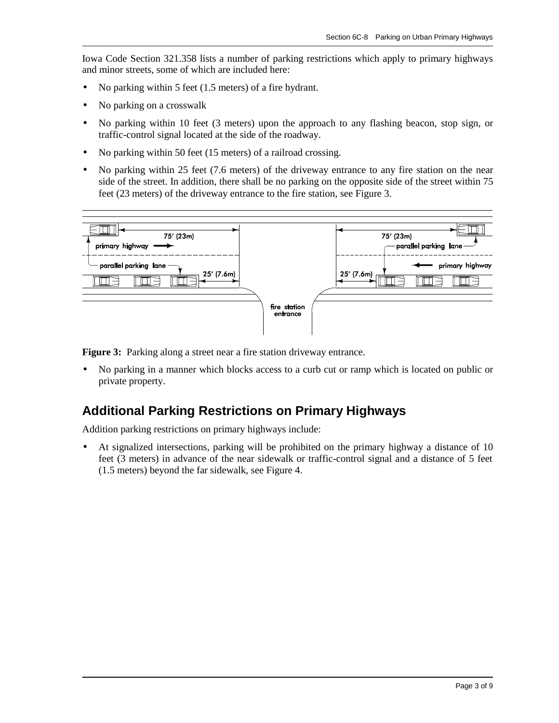Iowa Code Section 321.358 lists a number of parking restrictions which apply to primary highways and minor streets, some of which are included here:

- No parking within 5 feet (1.5 meters) of a fire hydrant.
- No parking on a crosswalk
- No parking within 10 feet (3 meters) upon the approach to any flashing beacon, stop sign, or traffic-control signal located at the side of the roadway.
- No parking within 50 feet (15 meters) of a railroad crossing.
- No parking within 25 feet (7.6 meters) of the driveway entrance to any fire station on the near side of the street. In addition, there shall be no parking on the opposite side of the street within 75 feet (23 meters) of the driveway entrance to the fire station, see Figure 3.



**Figure 3:** Parking along a street near a fire station driveway entrance.

• No parking in a manner which blocks access to a curb cut or ramp which is located on public or private property.

### **Additional Parking Restrictions on Primary Highways**

Addition parking restrictions on primary highways include:

• At signalized intersections, parking will be prohibited on the primary highway a distance of 10 feet (3 meters) in advance of the near sidewalk or traffic-control signal and a distance of 5 feet (1.5 meters) beyond the far sidewalk, see Figure 4.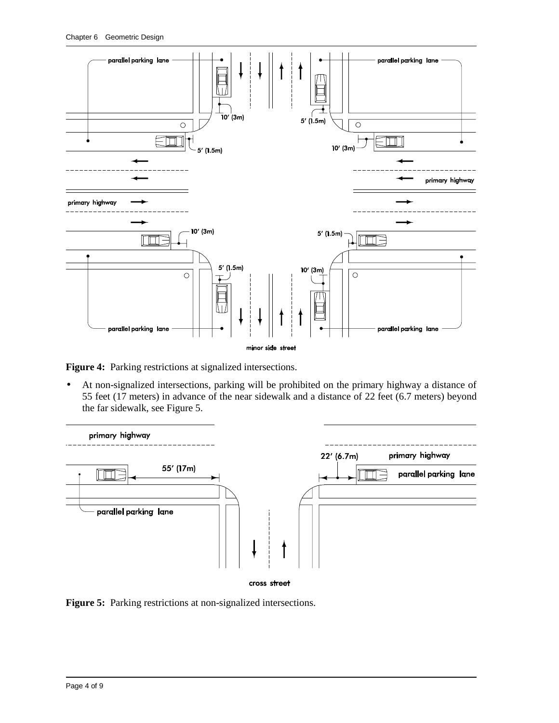

**Figure 4:** Parking restrictions at signalized intersections.

• At non-signalized intersections, parking will be prohibited on the primary highway a distance of 55 feet (17 meters) in advance of the near sidewalk and a distance of 22 feet (6.7 meters) beyond the far sidewalk, see Figure 5.



**Figure 5:** Parking restrictions at non-signalized intersections.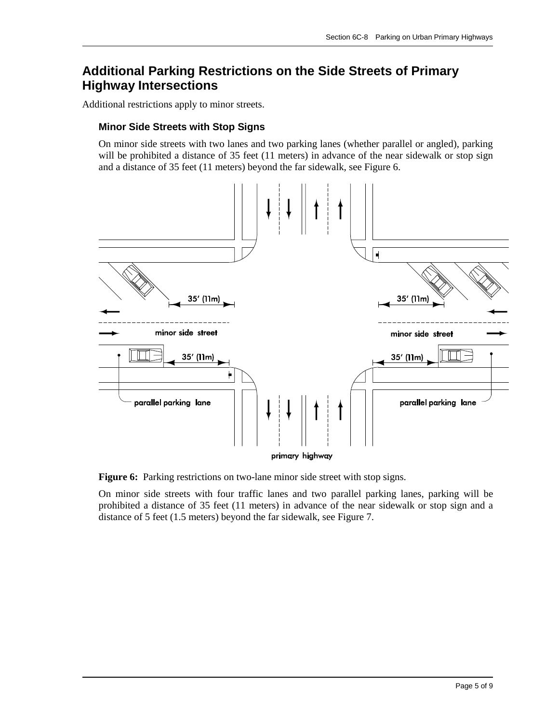## **Additional Parking Restrictions on the Side Streets of Primary Highway Intersections**

Additional restrictions apply to minor streets.

#### **Minor Side Streets with Stop Signs**

On minor side streets with two lanes and two parking lanes (whether parallel or angled), parking will be prohibited a distance of 35 feet (11 meters) in advance of the near sidewalk or stop sign and a distance of 35 feet (11 meters) beyond the far sidewalk, see Figure 6.



**Figure 6:** Parking restrictions on two-lane minor side street with stop signs.

On minor side streets with four traffic lanes and two parallel parking lanes, parking will be prohibited a distance of 35 feet (11 meters) in advance of the near sidewalk or stop sign and a distance of 5 feet (1.5 meters) beyond the far sidewalk, see Figure 7.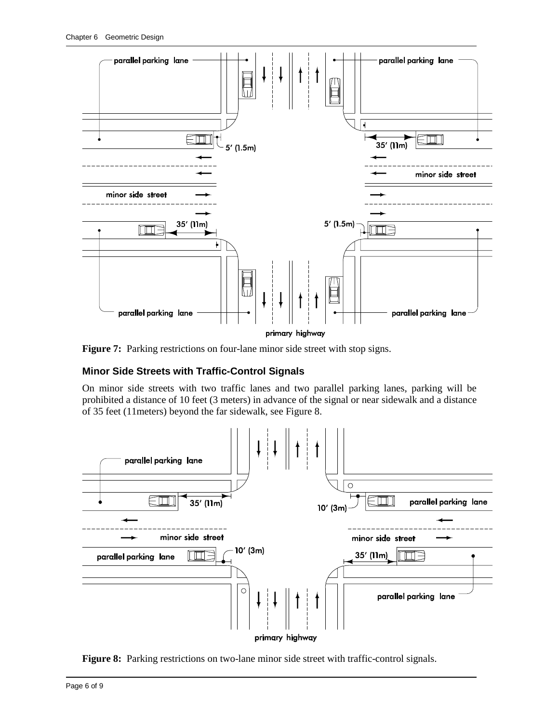

**Figure 7:** Parking restrictions on four-lane minor side street with stop signs.

#### **Minor Side Streets with Traffic-Control Signals**

On minor side streets with two traffic lanes and two parallel parking lanes, parking will be prohibited a distance of 10 feet (3 meters) in advance of the signal or near sidewalk and a distance of 35 feet (11meters) beyond the far sidewalk, see Figure 8.



**Figure 8:** Parking restrictions on two-lane minor side street with traffic-control signals.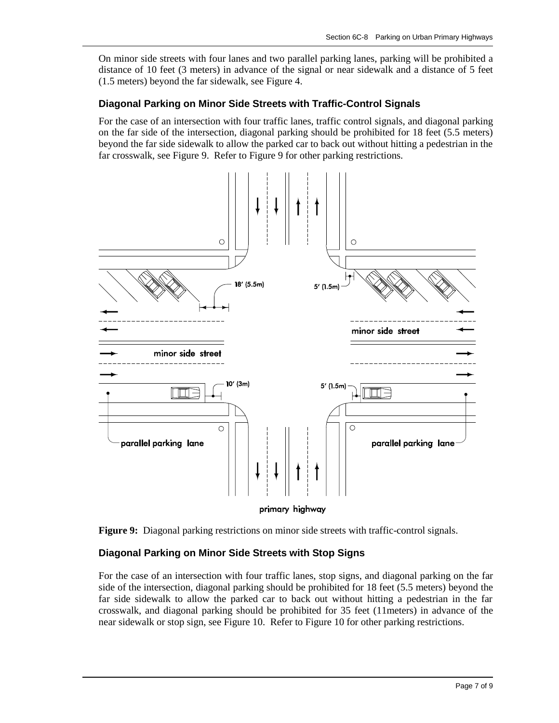On minor side streets with four lanes and two parallel parking lanes, parking will be prohibited a distance of 10 feet (3 meters) in advance of the signal or near sidewalk and a distance of 5 feet (1.5 meters) beyond the far sidewalk, see Figure 4.

#### **Diagonal Parking on Minor Side Streets with Traffic-Control Signals**

For the case of an intersection with four traffic lanes, traffic control signals, and diagonal parking on the far side of the intersection, diagonal parking should be prohibited for 18 feet (5.5 meters) beyond the far side sidewalk to allow the parked car to back out without hitting a pedestrian in the far crosswalk, see Figure 9. Refer to Figure 9 for other parking restrictions.



**Figure 9:** Diagonal parking restrictions on minor side streets with traffic-control signals.

#### **Diagonal Parking on Minor Side Streets with Stop Signs**

For the case of an intersection with four traffic lanes, stop signs, and diagonal parking on the far side of the intersection, diagonal parking should be prohibited for 18 feet (5.5 meters) beyond the far side sidewalk to allow the parked car to back out without hitting a pedestrian in the far crosswalk, and diagonal parking should be prohibited for 35 feet (11meters) in advance of the near sidewalk or stop sign, see Figure 10. Refer to Figure 10 for other parking restrictions.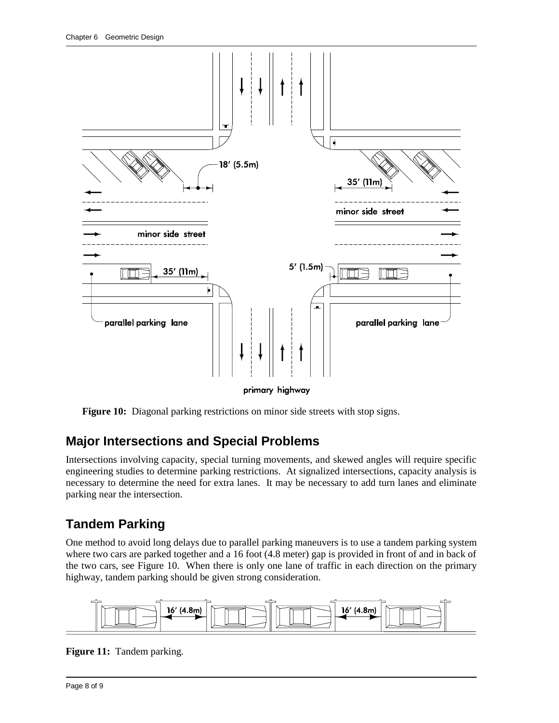

**Figure 10:** Diagonal parking restrictions on minor side streets with stop signs.

# **Major Intersections and Special Problems**

Intersections involving capacity, special turning movements, and skewed angles will require specific engineering studies to determine parking restrictions. At signalized intersections, capacity analysis is necessary to determine the need for extra lanes. It may be necessary to add turn lanes and eliminate parking near the intersection.

# **Tandem Parking**

One method to avoid long delays due to parallel parking maneuvers is to use a tandem parking system where two cars are parked together and a 16 foot (4.8 meter) gap is provided in front of and in back of the two cars, see Figure 10. When there is only one lane of traffic in each direction on the primary highway, tandem parking should be given strong consideration.



**Figure 11:** Tandem parking.